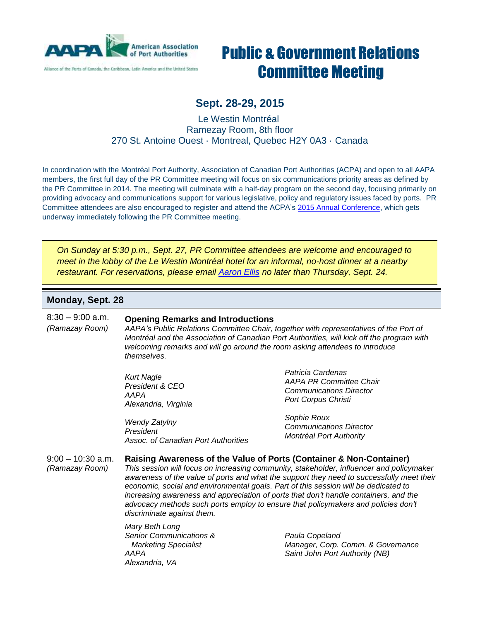

Alliance of the Purts of Canada, the Caribbean, Latin America and the United States

# Public & Government Relations Committee Meeting

## **Sept. 28-29, 2015**

Le Westin Montréal Ramezay Room, 8th floor 270 St. Antoine Ouest · Montreal, Quebec H2Y 0A3 · Canada

In coordination with the Montréal Port Authority, Association of Canadian Port Authorities (ACPA) and open to all AAPA members, the first full day of the PR Committee meeting will focus on six communications priority areas as defined by the PR Committee in 2014. The meeting will culminate with a half-day program on the second day, focusing primarily on providing advocacy and communications support for various legislative, policy and regulatory issues faced by ports. PR Committee attendees are also encouraged to register and attend the ACPA's [2015 Annual Conference,](http://acpa2015.ca/) which gets underway immediately following the PR Committee meeting.

*On Sunday at 5:30 p.m., Sept. 27, PR Committee attendees are welcome and encouraged to meet in the lobby of the Le Westin Montréal hotel for an informal, no-host dinner at a nearby restaurant. For reservations, please email [Aaron](mailto:aellis@aapa-ports.org) Ellis no later than Thursday, Sept. 24.*

#### **Monday, Sept. 28**

| $8:30 - 9:00$ a.m.<br>(Ramazay Room)  | <b>Opening Remarks and Introductions</b><br>AAPA's Public Relations Committee Chair, together with representatives of the Port of<br>Montréal and the Association of Canadian Port Authorities, will kick off the program with<br>welcoming remarks and will go around the room asking attendees to introduce<br>themselves.                                                                                                                                                                                                                                   |                                                                                                                     |
|---------------------------------------|----------------------------------------------------------------------------------------------------------------------------------------------------------------------------------------------------------------------------------------------------------------------------------------------------------------------------------------------------------------------------------------------------------------------------------------------------------------------------------------------------------------------------------------------------------------|---------------------------------------------------------------------------------------------------------------------|
|                                       | <b>Kurt Nagle</b><br>President & CEO<br>AAPA<br>Alexandria, Virginia                                                                                                                                                                                                                                                                                                                                                                                                                                                                                           | Patricia Cardenas<br><b>AAPA PR Committee Chair</b><br><b>Communications Director</b><br><b>Port Corpus Christi</b> |
|                                       | <b>Wendy Zatylny</b><br>President<br>Assoc. of Canadian Port Authorities                                                                                                                                                                                                                                                                                                                                                                                                                                                                                       | Sophie Roux<br><b>Communications Director</b><br>Montréal Port Authority                                            |
| $9:00 - 10:30$ a.m.<br>(Ramazay Room) | Raising Awareness of the Value of Ports (Container & Non-Container)<br>This session will focus on increasing community, stakeholder, influencer and policymaker<br>awareness of the value of ports and what the support they need to successfully meet their<br>economic, social and environmental goals. Part of this session will be dedicated to<br>increasing awareness and appreciation of ports that don't handle containers, and the<br>advocacy methods such ports employ to ensure that policymakers and policies don't<br>discriminate against them. |                                                                                                                     |
|                                       | Mary Beth Long<br>Senior Communications &<br><b>Marketing Specialist</b><br>AAPA<br>Alexandria, VA                                                                                                                                                                                                                                                                                                                                                                                                                                                             | Paula Copeland<br>Manager, Corp. Comm. & Governance<br>Saint John Port Authority (NB)                               |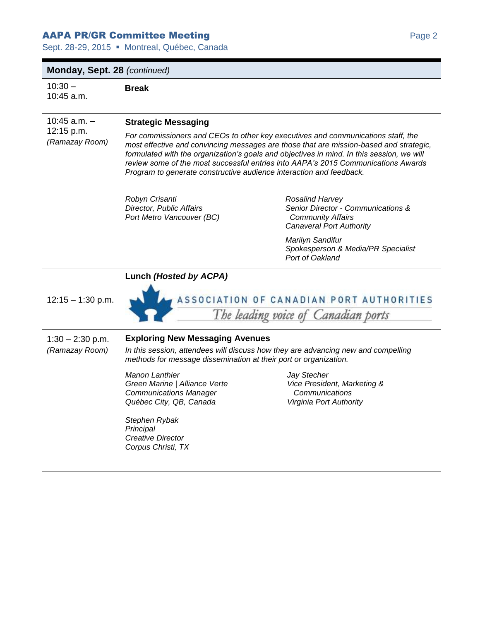### AAPA PR/GR Committee Meeting Part of the Case 2 and 2 and 2 and 2 and 2 and 2 and 2 and 2 and 2 and 2 and 2 and 2 and 2 and 2 and 2 and 2 and 2 and 2 and 2 and 2 and 2 and 2 and 2 and 2 and 2 and 2 and 2 and 2 and 2 and 2

Sept. 28-29, 2015 · Montreal, Québec, Canada

**Break**

#### **Monday, Sept. 28** *(continued)*

 $10:30 -$ 10:45 a.m.

10:45 a.m. – 12:15 p.m. *(Ramazay Room)*

#### **Strategic Messaging**

*For commissioners and CEOs to other key executives and communications staff, the most effective and convincing messages are those that are mission-based and strategic, formulated with the organization's goals and objectives in mind. In this session, we will review some of the most successful entries into AAPA's 2015 Communications Awards Program to generate constructive audience interaction and feedback.*

*Robyn Crisanti Director, Public Affairs Port Metro Vancouver (BC)*

**Lunch** *(Hosted by ACPA)*

*Rosalind Harvey Senior Director - Communications & Community Affairs Canaveral Port Authority*

*Marilyn Sandifur Spokesperson & Media/PR Specialist Port of Oakland*

#### $12:15 - 1:30$  p.m.

ASSOCIATION OF CANADIAN PORT AUTHORITIES The leading voice of Canadian ports

1:30 – 2:30 p.m. *(Ramazay Room)*

#### **Exploring New Messaging Avenues**

*In this session, attendees will discuss how they are advancing new and compelling methods for message dissemination at their port or organization.*

*Manon Lanthier Green Marine | Alliance Verte Communications Manager Québec City, QB, Canada*

*Stephen Rybak Principal Creative Director Corpus Christi, TX* *Jay Stecher Vice President, Marketing & Communications Virginia Port Authority*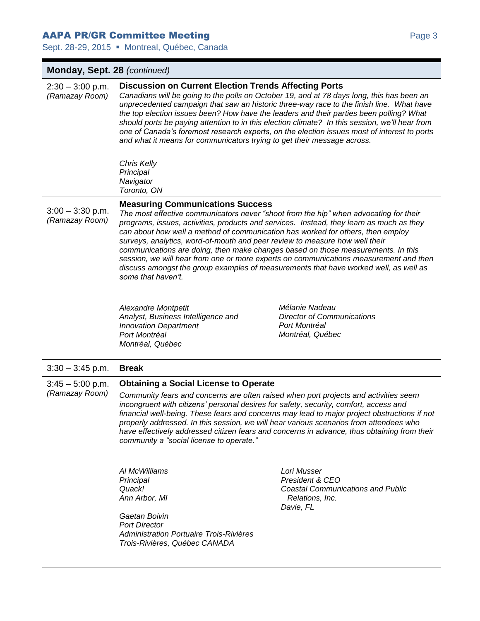#### AAPA PR/GR Committee Meeting Particular Page 3 AMPA Prage 3

Sept. 28-29, 2015 · Montreal, Québec, Canada

#### **Monday, Sept. 28** *(continued)*  $2:30 - 3:00$  p.m. *(Ramazay Room)* **Discussion on Current Election Trends Affecting Ports** *Canadians will be going to the polls on October 19, and at 78 days long, this has been an unprecedented campaign that saw an historic three-way race to the finish line. What have the top election issues been? How have the leaders and their parties been polling? What should ports be paying attention to in this election climate? In this session, we'll hear from one of Canada's foremost research experts, on the election issues most of interest to ports and what it means for communicators trying to get their message across. Chris Kelly Principal Navigator Toronto, ON*  $3:00 - 3:30$  p.m. *(Ramazay Room)* **Measuring Communications Success** *The most effective communicators never "shoot from the hip" when advocating for their programs, issues, activities, products and services. Instead, they learn as much as they can about how well a method of communication has worked for others, then employ surveys, analytics, word-of-mouth and peer review to measure how well their communications are doing, then make changes based on those measurements. In this session, we will hear from one or more experts on communications measurement and then discuss amongst the group examples of measurements that have worked well, as well as some that haven't. Alexandre Montpetit Analyst, Business Intelligence and Innovation Department Port Montréal Montréal, Québec Mélanie Nadeau Director of Communications Port Montréal Montréal, Québec* 3:30 – 3:45 p.m. **Break**  $3:45 - 5:00$  p.m. *(Ramazay Room)* **Obtaining a Social License to Operate**  *Community fears and concerns are often raised when port projects and activities seem incongruent with citizens' personal desires for safety, security, comfort, access and financial well-being. These fears and concerns may lead to major project obstructions if not properly addressed. In this session, we will hear various scenarios from attendees who*  have effectively addressed citizen fears and concerns in advance, thus obtaining from their *community a "social license to operate." Al McWilliams Principal Quack! Ann Arbor, MI Gaetan Boivin Port Director Administration Portuaire Trois-Rivières Trois-Rivières, Québec CANADA Lori Musser President & CEO Coastal Communications and Public Relations, Inc. Davie, FL*